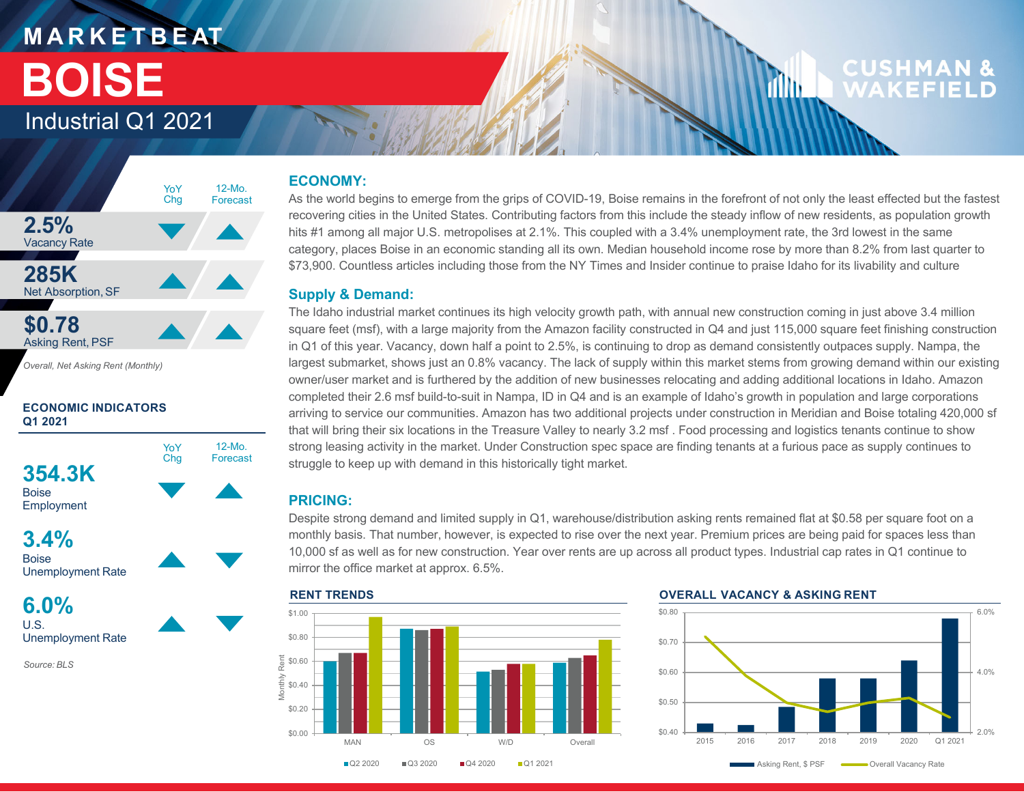## **M A R K E T B E AT BOISE**

### Industrial Q1 2021



*Overall, Net Asking Rent (Monthly)*

#### **ECONOMIC INDICATORS Q1 2021**







**6.0%**U.S.Unemployment Rate

*Source: BLS*

#### **ECONOMY:**

As the world begins to emerge from the grips of COVID-19, Boise remains in the forefront of not only the least effected but the fastest recovering cities in the United States. Contributing factors from this include the steady inflow of new residents, as population growth hits #1 among all major U.S. metropolises at 2.1%. This coupled with a 3.4% unemployment rate, the 3rd lowest in the same category, places Boise in an economic standing all its own. Median household income rose by more than 8.2% from last quarter to \$73,900. Countless articles including those from the NY Times and Insider continue to praise Idaho for its livability and culture

#### **Supply & Demand:**

The Idaho industrial market continues its high velocity growth path, with annual new construction coming in just above 3.4 million square feet (msf), with a large majority from the Amazon facility constructed in Q4 and just 115,000 square feet finishing construction in Q1 of this year. Vacancy, down half a point to 2.5%, is continuing to drop as demand consistently outpaces supply. Nampa, the largest submarket, shows just an 0.8% vacancy. The lack of supply within this market stems from growing demand within our existing owner/user market and is furthered by the addition of new businesses relocating and adding additional locations in Idaho. Amazon completed their 2.6 msf build-to-suit in Nampa, ID in Q4 and is an example of Idaho's growth in population and large corporations arriving to service our communities. Amazon has two additional projects under construction in Meridian and Boise totaling 420,000 sf that will bring their six locations in the Treasure Valley to nearly 3.2 msf . Food processing and logistics tenants continue to show strong leasing activity in the market. Under Construction spec space are finding tenants at a furious pace as supply continues to struggle to keep up with demand in this historically tight market.

#### **PRICING:**

Despite strong demand and limited supply in Q1, warehouse/distribution asking rents remained flat at \$0.58 per square foot on a monthly basis. That number, however, is expected to rise over the next year. Premium prices are being paid for spaces less than 10,000 sf as well as for new construction. Year over rents are up across all product types. Industrial cap rates in Q1 continue to mirror the office market at approx. 6.5%.



dilin.



CUSHMAN

**WAKFFI**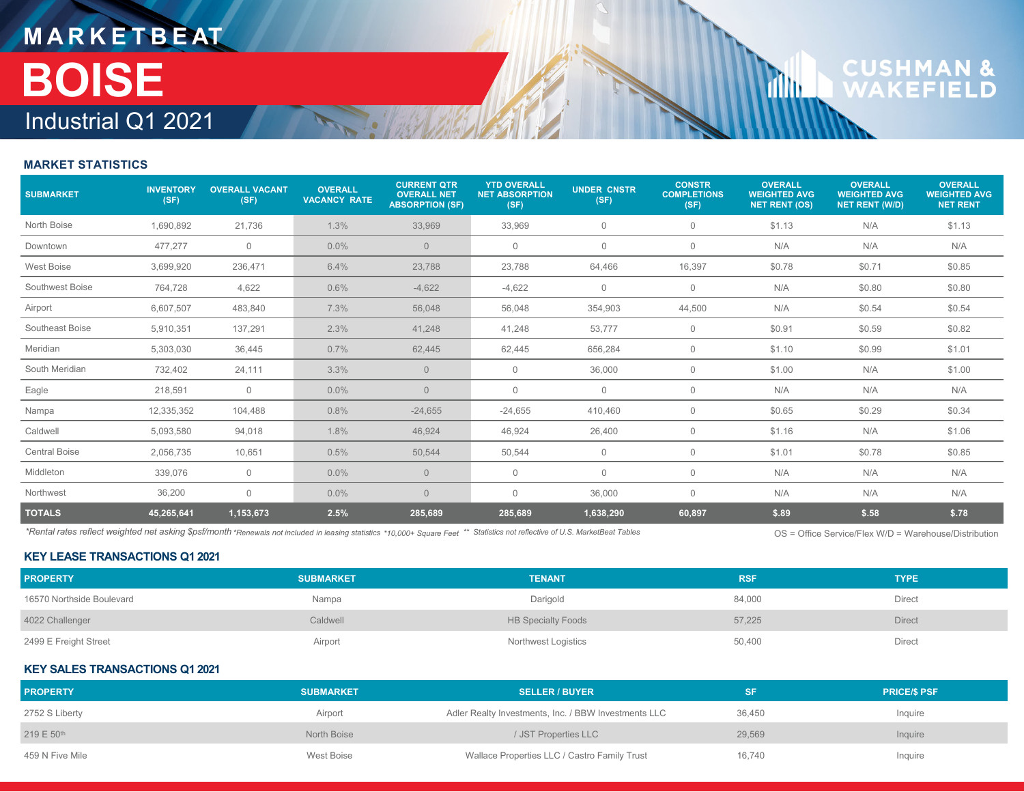## **M A R K E T B E AT** Industrial Q1 2021 **BOISE**

# **CUSHMAN &**<br>WAKEFIELD

**Tillu** 

#### **MARKET STATISTICS**

| <b>SUBMARKET</b>     | <b>INVENTORY</b><br>(SF) | <b>OVERALL VACANT</b><br>(SF) | <b>OVERALL</b><br><b>VACANCY RATE</b> | <b>CURRENT QTR</b><br><b>OVERALL NET</b><br><b>ABSORPTION (SF)</b> | <b>YTD OVERALL</b><br><b>NET ABSORPTION</b><br>(SF) | <b>UNDER CNSTR</b><br>(SF) | <b>CONSTR</b><br><b>COMPLETIONS</b><br>(SF) | <b>OVERALL</b><br><b>WEIGHTED AVG</b><br><b>NET RENT (OS)</b> | <b>OVERALL</b><br><b>WEIGHTED AVG</b><br><b>NET RENT (W/D)</b> | <b>OVERALL</b><br><b>WEIGHTED AVG</b><br><b>NET RENT</b> |
|----------------------|--------------------------|-------------------------------|---------------------------------------|--------------------------------------------------------------------|-----------------------------------------------------|----------------------------|---------------------------------------------|---------------------------------------------------------------|----------------------------------------------------------------|----------------------------------------------------------|
| North Boise          | 1,690,892                | 21,736                        | 1.3%                                  | 33,969                                                             | 33,969                                              | $\mathbf 0$                | $\mathbf 0$                                 | \$1.13                                                        | N/A                                                            | \$1.13                                                   |
| Downtown             | 477,277                  | $\mathbf 0$                   | 0.0%                                  | $\overline{0}$                                                     | $\mathbf{0}$                                        | $\mathbf 0$                | $\mathbf{0}$                                | N/A                                                           | N/A                                                            | N/A                                                      |
| West Boise           | 3,699,920                | 236,471                       | 6.4%                                  | 23,788                                                             | 23,788                                              | 64,466                     | 16,397                                      | \$0.78                                                        | \$0.71                                                         | \$0.85                                                   |
| Southwest Boise      | 764,728                  | 4,622                         | 0.6%                                  | $-4,622$                                                           | $-4,622$                                            | $\mathbf 0$                | $\mathbf 0$                                 | N/A                                                           | \$0.80                                                         | \$0.80                                                   |
| Airport              | 6,607,507                | 483,840                       | 7.3%                                  | 56,048                                                             | 56,048                                              | 354,903                    | 44,500                                      | N/A                                                           | \$0.54                                                         | \$0.54                                                   |
| Southeast Boise      | 5,910,351                | 137,291                       | 2.3%                                  | 41,248                                                             | 41,248                                              | 53,777                     | $\mathbf 0$                                 | \$0.91                                                        | \$0.59                                                         | \$0.82                                                   |
| Meridian             | 5,303,030                | 36,445                        | 0.7%                                  | 62,445                                                             | 62,445                                              | 656,284                    | $\mathbf 0$                                 | \$1.10                                                        | \$0.99                                                         | \$1.01                                                   |
| South Meridian       | 732,402                  | 24,111                        | 3.3%                                  | $\overline{0}$                                                     | 0                                                   | 36,000                     | 0                                           | \$1.00                                                        | N/A                                                            | \$1.00                                                   |
| Eagle                | 218,591                  | $\mathbf 0$                   | $0.0\%$                               | $\overline{0}$                                                     | $\mathbf{0}$                                        | $\mathbf 0$                | $\mathbf 0$                                 | N/A                                                           | N/A                                                            | N/A                                                      |
| Nampa                | 12,335,352               | 104,488                       | 0.8%                                  | $-24,655$                                                          | $-24,655$                                           | 410,460                    | $\mathbf{0}$                                | \$0.65                                                        | \$0.29                                                         | \$0.34                                                   |
| Caldwell             | 5,093,580                | 94,018                        | 1.8%                                  | 46,924                                                             | 46,924                                              | 26,400                     | $\mathbf 0$                                 | \$1.16                                                        | N/A                                                            | \$1.06                                                   |
| <b>Central Boise</b> | 2,056,735                | 10,651                        | 0.5%                                  | 50,544                                                             | 50,544                                              | $\mathbf 0$                | $\mathbf{0}$                                | \$1.01                                                        | \$0.78                                                         | \$0.85                                                   |
| Middleton            | 339,076                  | $\mathbf 0$                   | 0.0%                                  | $\overline{0}$                                                     | $\mathbf{0}$                                        | $\mathbf 0$                | 0                                           | N/A                                                           | N/A                                                            | N/A                                                      |
| Northwest            | 36,200                   | $\mathbf{0}$                  | $0.0\%$                               | $\overline{0}$                                                     | $\mathbf{0}$                                        | 36,000                     | $\mathbf 0$                                 | N/A                                                           | N/A                                                            | N/A                                                      |
| <b>TOTALS</b>        | 45,265,641               | 1,153,673                     | 2.5%                                  | 285,689                                                            | 285,689                                             | 1,638,290                  | 60,897                                      | \$.89                                                         | \$.58                                                          | \$.78                                                    |

\*Rental rates reflect weighted net asking \$psf/month \*Renewals not included in leasing statistics \*10,000+ Square Feet \*\* Statistics not reflective of U.S. MarketBeat Tables (Nation Section 2005 = Office Service/Flex W/D =

OS = Office Service/Flex W/D = Warehouse/Distribution

#### **KEY LEASE TRANSACTIONS Q1 2021**

| <b>PROPERTY</b>           | <b>SUBMARKET</b> | <b>TENANT</b>              | <b>RSF</b> | <b>TYPE</b>   |
|---------------------------|------------------|----------------------------|------------|---------------|
| 16570 Northside Boulevard | Nampa            | Darigold                   | 84,000     | <b>Direct</b> |
| 4022 Challenger           | Caldwell         | <b>HB Specialty Foods</b>  | 57,225     | <b>Direct</b> |
| 2499 E Freight Street     | Airport          | <b>Northwest Logistics</b> | 50,400     | <b>Direct</b> |

#### **KEY SALES TRANSACTIONS Q1 2021**

| <b>PROPERTY</b> | <b>SUBMARKET</b> | <b>SELLER / BUYER</b>                                |        | <b>PRICE/S PSF</b> |
|-----------------|------------------|------------------------------------------------------|--------|--------------------|
| 2752 S Liberty  | Airport          | Adler Realty Investments, Inc. / BBW Investments LLC | 36,450 | Inquire            |
| 219 E 50th      | North Boise      | / JST Properties LLC                                 | 29,569 | Inquire            |
| 459 N Five Mile | West Boise       | Wallace Properties LLC / Castro Family Trust         | 16.740 | Inquire            |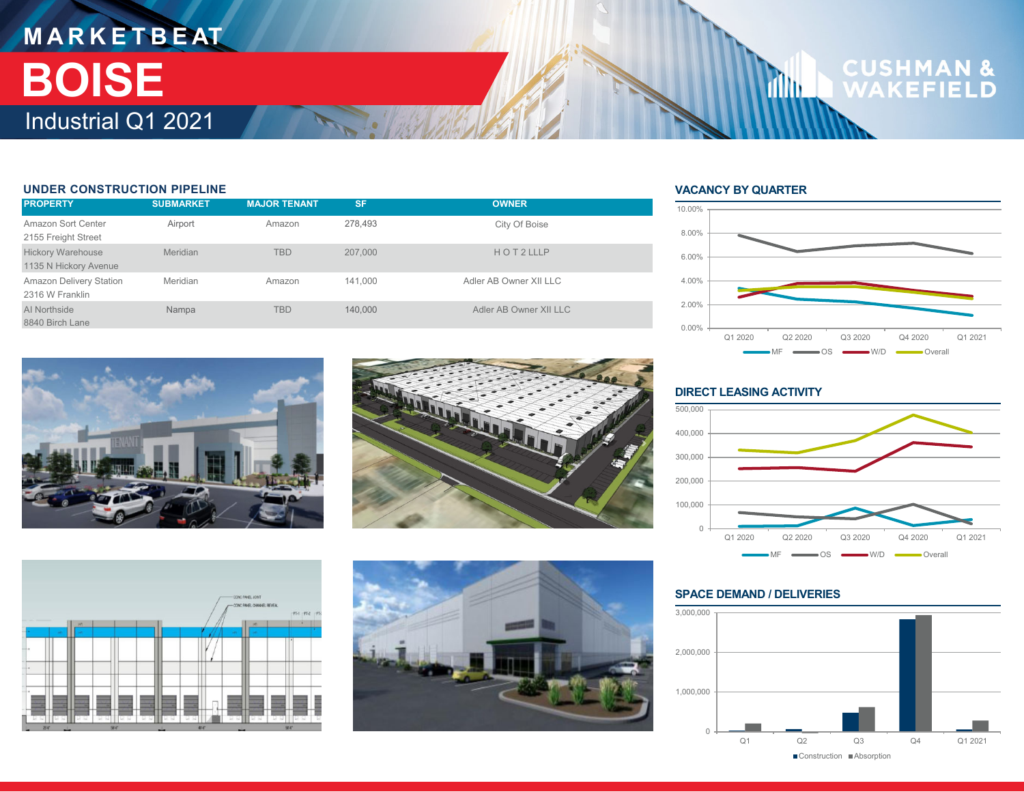## **M A R K E T B E AT** Industrial Q1 2021 **BOISE**

#### **UNDER CONSTRUCTION PIPELINE**

| <b>PROPERTY</b>                                   | <b>SUBMARKET</b> | <b>MAJOR TENANT.</b> | <b>SF</b> | <b>OWNER</b>           |
|---------------------------------------------------|------------------|----------------------|-----------|------------------------|
| Amazon Sort Center<br>2155 Freight Street         | Airport          | Amazon               | 278,493   | City Of Boise          |
| <b>Hickory Warehouse</b><br>1135 N Hickory Avenue | Meridian         | <b>TBD</b>           | 207,000   | HOT2LLLP               |
| <b>Amazon Delivery Station</b><br>2316 W Franklin | Meridian         | Amazon               | 141.000   | Adler AB Owner XII LLC |
| Al Northside<br>8840 Birch Lane                   | Nampa            | <b>TBD</b>           | 140,000   | Adler AB Owner XII LLC |

#### **VACANCY BY QUARTER**

din.



**CUSHMAN &**<br>WAKEFIELD









#### **DIRECT LEASING ACTIVITY**



#### **SPACE DEMAND / DELIVERIES**